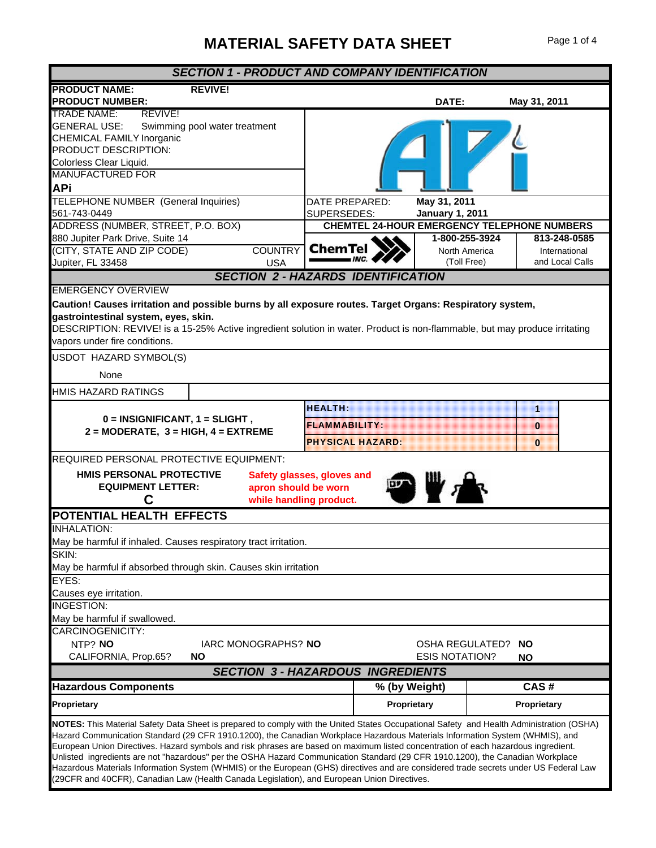## **MATERIAL SAFETY DATA SHEET** Page 1 of 4

| <b>SECTION 1 - PRODUCT AND COMPANY IDENTIFICATION</b>                                                                                                                                                                                                                                                                                                                                                                                                                                                                                                                                                                                                                                                                                                                                    |                                                                   |                              |  |                                      |                                  |  |
|------------------------------------------------------------------------------------------------------------------------------------------------------------------------------------------------------------------------------------------------------------------------------------------------------------------------------------------------------------------------------------------------------------------------------------------------------------------------------------------------------------------------------------------------------------------------------------------------------------------------------------------------------------------------------------------------------------------------------------------------------------------------------------------|-------------------------------------------------------------------|------------------------------|--|--------------------------------------|----------------------------------|--|
| <b>PRODUCT NAME:</b><br><b>REVIVE!</b><br><b>PRODUCT NUMBER:</b>                                                                                                                                                                                                                                                                                                                                                                                                                                                                                                                                                                                                                                                                                                                         |                                                                   | DATE:                        |  | May 31, 2011                         |                                  |  |
| REVIVE!<br><b>TRADE NAME:</b><br><b>GENERAL USE:</b><br>Swimming pool water treatment<br><b>CHEMICAL FAMILY Inorganic</b><br>PRODUCT DESCRIPTION:<br>Colorless Clear Liquid.<br><b>MANUFACTURED FOR</b><br><b>APi</b>                                                                                                                                                                                                                                                                                                                                                                                                                                                                                                                                                                    |                                                                   |                              |  |                                      |                                  |  |
| TELEPHONE NUMBER (General Inquiries)                                                                                                                                                                                                                                                                                                                                                                                                                                                                                                                                                                                                                                                                                                                                                     | DATE PREPARED:                                                    | May 31, 2011                 |  |                                      |                                  |  |
| 561-743-0449<br>ADDRESS (NUMBER, STREET, P.O. BOX)                                                                                                                                                                                                                                                                                                                                                                                                                                                                                                                                                                                                                                                                                                                                       | SUPERSEDES:                                                       | <b>January 1, 2011</b>       |  |                                      |                                  |  |
| 880 Jupiter Park Drive, Suite 14                                                                                                                                                                                                                                                                                                                                                                                                                                                                                                                                                                                                                                                                                                                                                         | <b>CHEMTEL 24-HOUR EMERGENCY TELEPHONE NUMBERS</b>                | 1-800-255-3924               |  |                                      | 813-248-0585                     |  |
| (CITY, STATE AND ZIP CODE)<br><b>COUNTRY</b><br>Jupiter, FL 33458<br><b>USA</b>                                                                                                                                                                                                                                                                                                                                                                                                                                                                                                                                                                                                                                                                                                          | <b>ChemTel</b>                                                    | North America<br>(Toll Free) |  |                                      | International<br>and Local Calls |  |
|                                                                                                                                                                                                                                                                                                                                                                                                                                                                                                                                                                                                                                                                                                                                                                                          | <b>SECTION 2 - HAZARDS IDENTIFICATION</b>                         |                              |  |                                      |                                  |  |
| <b>EMERGENCY OVERVIEW</b><br>Caution! Causes irritation and possible burns by all exposure routes. Target Organs: Respiratory system,<br>gastrointestinal system, eyes, skin.<br>DESCRIPTION: REVIVE! is a 15-25% Active ingredient solution in water. Product is non-flammable, but may produce irritating<br>vapors under fire conditions.                                                                                                                                                                                                                                                                                                                                                                                                                                             |                                                                   |                              |  |                                      |                                  |  |
| USDOT HAZARD SYMBOL(S)                                                                                                                                                                                                                                                                                                                                                                                                                                                                                                                                                                                                                                                                                                                                                                   |                                                                   |                              |  |                                      |                                  |  |
| None                                                                                                                                                                                                                                                                                                                                                                                                                                                                                                                                                                                                                                                                                                                                                                                     |                                                                   |                              |  |                                      |                                  |  |
| HMIS HAZARD RATINGS                                                                                                                                                                                                                                                                                                                                                                                                                                                                                                                                                                                                                                                                                                                                                                      |                                                                   |                              |  |                                      |                                  |  |
| $0 = INSIGNIFICANT, 1 = SLIGHT,$<br>$2 = MODERATE$ , $3 = HIGH$ , $4 = EXTERENE$                                                                                                                                                                                                                                                                                                                                                                                                                                                                                                                                                                                                                                                                                                         | <b>HEALTH:</b><br><b>FLAMMABILITY:</b><br><b>PHYSICAL HAZARD:</b> |                              |  | $\mathbf{1}$<br>$\Omega$<br>$\Omega$ |                                  |  |
| REQUIRED PERSONAL PROTECTIVE EQUIPMENT:                                                                                                                                                                                                                                                                                                                                                                                                                                                                                                                                                                                                                                                                                                                                                  |                                                                   |                              |  |                                      |                                  |  |
| HMIS PERSONAL PROTECTIVE<br>Safety glasses, gloves and<br><b>EQUIPMENT LETTER:</b><br>apron should be worn<br>С<br>while handling product.                                                                                                                                                                                                                                                                                                                                                                                                                                                                                                                                                                                                                                               |                                                                   |                              |  |                                      |                                  |  |
| POTENTIAL HEALTH EFFECTS                                                                                                                                                                                                                                                                                                                                                                                                                                                                                                                                                                                                                                                                                                                                                                 |                                                                   |                              |  |                                      |                                  |  |
| <b>INHALATION:</b>                                                                                                                                                                                                                                                                                                                                                                                                                                                                                                                                                                                                                                                                                                                                                                       |                                                                   |                              |  |                                      |                                  |  |
| May be harmful if inhaled. Causes respiratory tract irritation.<br>SKIN:                                                                                                                                                                                                                                                                                                                                                                                                                                                                                                                                                                                                                                                                                                                 |                                                                   |                              |  |                                      |                                  |  |
| May be harmful if absorbed through skin. Causes skin irritation                                                                                                                                                                                                                                                                                                                                                                                                                                                                                                                                                                                                                                                                                                                          |                                                                   |                              |  |                                      |                                  |  |
| EYES:                                                                                                                                                                                                                                                                                                                                                                                                                                                                                                                                                                                                                                                                                                                                                                                    |                                                                   |                              |  |                                      |                                  |  |
| Causes eye irritation.                                                                                                                                                                                                                                                                                                                                                                                                                                                                                                                                                                                                                                                                                                                                                                   |                                                                   |                              |  |                                      |                                  |  |
| <b>INGESTION:</b>                                                                                                                                                                                                                                                                                                                                                                                                                                                                                                                                                                                                                                                                                                                                                                        |                                                                   |                              |  |                                      |                                  |  |
| May be harmful if swallowed.<br>CARCINOGENICITY:<br>NTP? NO<br>IARC MONOGRAPHS? NO<br>OSHA REGULATED?<br><b>NO</b><br>CALIFORNIA, Prop.65?<br><b>NO</b><br><b>ESIS NOTATION?</b><br>ΝO                                                                                                                                                                                                                                                                                                                                                                                                                                                                                                                                                                                                   |                                                                   |                              |  |                                      |                                  |  |
| <b>SECTION 3 - HAZARDOUS INGREDIENTS</b>                                                                                                                                                                                                                                                                                                                                                                                                                                                                                                                                                                                                                                                                                                                                                 |                                                                   |                              |  |                                      |                                  |  |
| <b>Hazardous Components</b>                                                                                                                                                                                                                                                                                                                                                                                                                                                                                                                                                                                                                                                                                                                                                              | % (by Weight)                                                     |                              |  | CAS#                                 |                                  |  |
| Proprietary                                                                                                                                                                                                                                                                                                                                                                                                                                                                                                                                                                                                                                                                                                                                                                              | Proprietary                                                       |                              |  | Proprietary                          |                                  |  |
| NOTES: This Material Safety Data Sheet is prepared to comply with the United States Occupational Safety and Health Administration (OSHA)<br>Hazard Communication Standard (29 CFR 1910.1200), the Canadian Workplace Hazardous Materials Information System (WHMIS), and<br>European Union Directives. Hazard symbols and risk phrases are based on maximum listed concentration of each hazardous ingredient.<br>Unlisted ingredients are not "hazardous" per the OSHA Hazard Communication Standard (29 CFR 1910.1200), the Canadian Workplace<br>Hazardous Materials Information System (WHMIS) or the European (GHS) directives and are considered trade secrets under US Federal Law<br>(29CFR and 40CFR), Canadian Law (Health Canada Legislation), and European Union Directives. |                                                                   |                              |  |                                      |                                  |  |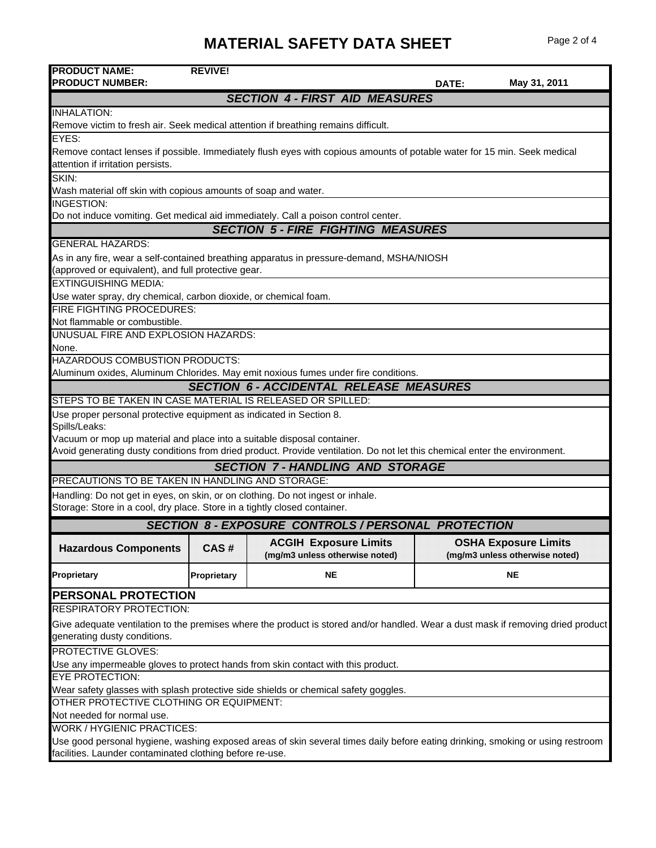## **MATERIAL SAFETY DATA SHEET** Page 2 of 4

| <b>PRODUCT NAME:</b><br><b>PRODUCT NUMBER:</b>                                                                                                                | <b>REVIVE!</b> |                                                                                                                                  | DATE: | May 31, 2011                                                  |  |  |
|---------------------------------------------------------------------------------------------------------------------------------------------------------------|----------------|----------------------------------------------------------------------------------------------------------------------------------|-------|---------------------------------------------------------------|--|--|
|                                                                                                                                                               |                | <b>SECTION 4 - FIRST AID MEASURES</b>                                                                                            |       |                                                               |  |  |
| <b>INHALATION:</b>                                                                                                                                            |                |                                                                                                                                  |       |                                                               |  |  |
|                                                                                                                                                               |                | Remove victim to fresh air. Seek medical attention if breathing remains difficult.                                               |       |                                                               |  |  |
| EYES:                                                                                                                                                         |                |                                                                                                                                  |       |                                                               |  |  |
| Remove contact lenses if possible. Immediately flush eyes with copious amounts of potable water for 15 min. Seek medical<br>attention if irritation persists. |                |                                                                                                                                  |       |                                                               |  |  |
| SKIN:                                                                                                                                                         |                |                                                                                                                                  |       |                                                               |  |  |
| Wash material off skin with copious amounts of soap and water.                                                                                                |                |                                                                                                                                  |       |                                                               |  |  |
| <b>INGESTION:</b>                                                                                                                                             |                | Do not induce vomiting. Get medical aid immediately. Call a poison control center.                                               |       |                                                               |  |  |
|                                                                                                                                                               |                | <b>SECTION 5 - FIRE FIGHTING MEASURES</b>                                                                                        |       |                                                               |  |  |
| <b>GENERAL HAZARDS:</b>                                                                                                                                       |                |                                                                                                                                  |       |                                                               |  |  |
|                                                                                                                                                               |                | As in any fire, wear a self-contained breathing apparatus in pressure-demand, MSHA/NIOSH                                         |       |                                                               |  |  |
| (approved or equivalent), and full protective gear.                                                                                                           |                |                                                                                                                                  |       |                                                               |  |  |
| <b>EXTINGUISHING MEDIA:</b>                                                                                                                                   |                |                                                                                                                                  |       |                                                               |  |  |
| Use water spray, dry chemical, carbon dioxide, or chemical foam.                                                                                              |                |                                                                                                                                  |       |                                                               |  |  |
| <b>FIRE FIGHTING PROCEDURES:</b>                                                                                                                              |                |                                                                                                                                  |       |                                                               |  |  |
| Not flammable or combustible.                                                                                                                                 |                |                                                                                                                                  |       |                                                               |  |  |
| UNUSUAL FIRE AND EXPLOSION HAZARDS:                                                                                                                           |                |                                                                                                                                  |       |                                                               |  |  |
| None.<br>HAZARDOUS COMBUSTION PRODUCTS:                                                                                                                       |                |                                                                                                                                  |       |                                                               |  |  |
|                                                                                                                                                               |                | Aluminum oxides, Aluminum Chlorides. May emit noxious fumes under fire conditions.                                               |       |                                                               |  |  |
|                                                                                                                                                               |                | <b>SECTION 6 - ACCIDENTAL RELEASE MEASURES</b>                                                                                   |       |                                                               |  |  |
| STEPS TO BE TAKEN IN CASE MATERIAL IS RELEASED OR SPILLED:                                                                                                    |                |                                                                                                                                  |       |                                                               |  |  |
| Use proper personal protective equipment as indicated in Section 8.                                                                                           |                |                                                                                                                                  |       |                                                               |  |  |
| Spills/Leaks:                                                                                                                                                 |                |                                                                                                                                  |       |                                                               |  |  |
| Vacuum or mop up material and place into a suitable disposal container.                                                                                       |                |                                                                                                                                  |       |                                                               |  |  |
| Avoid generating dusty conditions from dried product. Provide ventilation. Do not let this chemical enter the environment.                                    |                |                                                                                                                                  |       |                                                               |  |  |
|                                                                                                                                                               |                | <b>SECTION 7-HANDLING AND STORAGE</b>                                                                                            |       |                                                               |  |  |
| PRECAUTIONS TO BE TAKEN IN HANDLING AND STORAGE:                                                                                                              |                |                                                                                                                                  |       |                                                               |  |  |
| Handling: Do not get in eyes, on skin, or on clothing. Do not ingest or inhale.<br>Storage: Store in a cool, dry place. Store in a tightly closed container.  |                |                                                                                                                                  |       |                                                               |  |  |
|                                                                                                                                                               |                | <b>SECTION 8 - EXPOSURE CONTROLS / PERSONAL PROTECTION</b>                                                                       |       |                                                               |  |  |
| <b>Hazardous Components</b>                                                                                                                                   | CAS#           | <b>ACGIH Exposure Limits</b><br>(mg/m3 unless otherwise noted)                                                                   |       | <b>OSHA Exposure Limits</b><br>(mg/m3 unless otherwise noted) |  |  |
|                                                                                                                                                               |                |                                                                                                                                  |       |                                                               |  |  |
| Proprietary                                                                                                                                                   | Proprietary    | <b>NE</b>                                                                                                                        |       | <b>NE</b>                                                     |  |  |
| PERSONAL PROTECTION                                                                                                                                           |                |                                                                                                                                  |       |                                                               |  |  |
| <b>RESPIRATORY PROTECTION:</b>                                                                                                                                |                |                                                                                                                                  |       |                                                               |  |  |
| generating dusty conditions.                                                                                                                                  |                | Give adequate ventilation to the premises where the product is stored and/or handled. Wear a dust mask if removing dried product |       |                                                               |  |  |
| <b>PROTECTIVE GLOVES:</b>                                                                                                                                     |                |                                                                                                                                  |       |                                                               |  |  |
| Use any impermeable gloves to protect hands from skin contact with this product.                                                                              |                |                                                                                                                                  |       |                                                               |  |  |
| <b>EYE PROTECTION:</b>                                                                                                                                        |                |                                                                                                                                  |       |                                                               |  |  |
| Wear safety glasses with splash protective side shields or chemical safety goggles.                                                                           |                |                                                                                                                                  |       |                                                               |  |  |
| OTHER PROTECTIVE CLOTHING OR EQUIPMENT:                                                                                                                       |                |                                                                                                                                  |       |                                                               |  |  |
| Not needed for normal use.<br><b>WORK / HYGIENIC PRACTICES:</b>                                                                                               |                |                                                                                                                                  |       |                                                               |  |  |
| Use good personal hygiene, washing exposed areas of skin several times daily before eating drinking, smoking or using restroom                                |                |                                                                                                                                  |       |                                                               |  |  |
| facilities. Launder contaminated clothing before re-use.                                                                                                      |                |                                                                                                                                  |       |                                                               |  |  |
|                                                                                                                                                               |                |                                                                                                                                  |       |                                                               |  |  |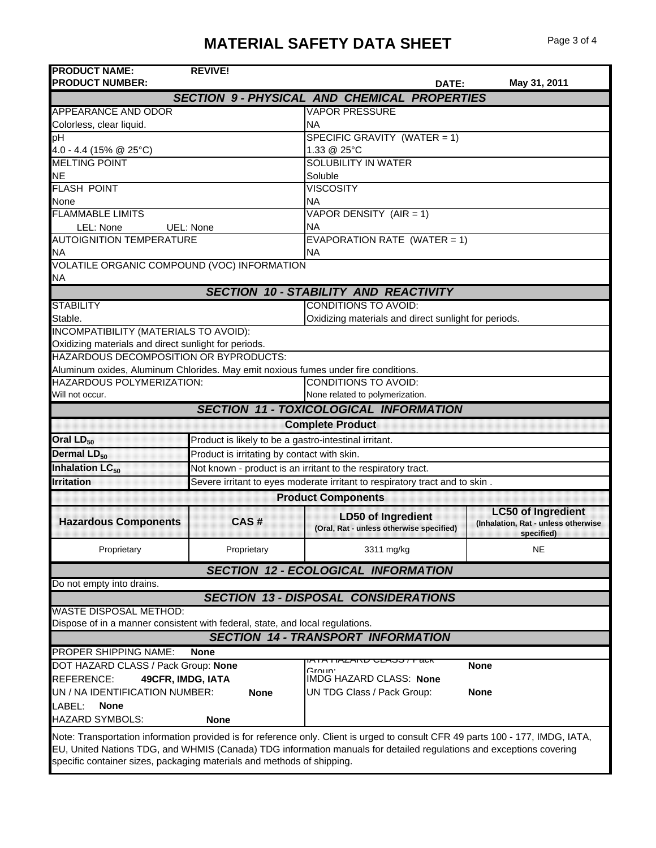## **MATERIAL SAFETY DATA SHEET** Page 3 of 4

| <b>PRODUCT NAME:</b>                                                                                                            | <b>REVIVE!</b>                                                              |                              |                                                      |       |                                     |  |  |
|---------------------------------------------------------------------------------------------------------------------------------|-----------------------------------------------------------------------------|------------------------------|------------------------------------------------------|-------|-------------------------------------|--|--|
| <b>PRODUCT NUMBER:</b>                                                                                                          |                                                                             |                              |                                                      | DATE: | May 31, 2011                        |  |  |
|                                                                                                                                 | <b>SECTION 9- PHYSICAL AND CHEMICAL PROPERTIES</b>                          |                              |                                                      |       |                                     |  |  |
| APPEARANCE AND ODOR                                                                                                             |                                                                             |                              | <b>VAPOR PRESSURE</b>                                |       |                                     |  |  |
| Colorless, clear liquid.                                                                                                        |                                                                             | <b>NA</b>                    |                                                      |       |                                     |  |  |
| рH                                                                                                                              |                                                                             |                              | SPECIFIC GRAVITY (WATER = 1)                         |       |                                     |  |  |
| 4.0 - 4.4 (15% @ 25°C)                                                                                                          |                                                                             | 1.33 @ 25°C                  |                                                      |       |                                     |  |  |
| <b>MELTING POINT</b>                                                                                                            |                                                                             |                              | SOLUBILITY IN WATER                                  |       |                                     |  |  |
| <b>NE</b>                                                                                                                       |                                                                             | Soluble                      |                                                      |       |                                     |  |  |
| <b>FLASH POINT</b>                                                                                                              |                                                                             |                              | <b>VISCOSITY</b>                                     |       |                                     |  |  |
| None                                                                                                                            |                                                                             |                              | <b>NA</b>                                            |       |                                     |  |  |
| <b>FLAMMABLE LIMITS</b>                                                                                                         |                                                                             | VAPOR DENSITY (AIR = 1)      |                                                      |       |                                     |  |  |
| LEL: None                                                                                                                       | UEL: None                                                                   | <b>NA</b>                    |                                                      |       |                                     |  |  |
| <b>AUTOIGNITION TEMPERATURE</b>                                                                                                 |                                                                             | EVAPORATION RATE (WATER = 1) |                                                      |       |                                     |  |  |
| <b>NA</b>                                                                                                                       |                                                                             | <b>NA</b>                    |                                                      |       |                                     |  |  |
| VOLATILE ORGANIC COMPOUND (VOC) INFORMATION                                                                                     |                                                                             |                              |                                                      |       |                                     |  |  |
| ΝA                                                                                                                              |                                                                             |                              |                                                      |       |                                     |  |  |
|                                                                                                                                 | <b>SECTION 10 - STABILITY AND REACTIVITY</b>                                |                              |                                                      |       |                                     |  |  |
| <b>STABILITY</b>                                                                                                                |                                                                             |                              | <b>CONDITIONS TO AVOID:</b>                          |       |                                     |  |  |
| Stable.                                                                                                                         |                                                                             |                              | Oxidizing materials and direct sunlight for periods. |       |                                     |  |  |
| INCOMPATIBILITY (MATERIALS TO AVOID):                                                                                           |                                                                             |                              |                                                      |       |                                     |  |  |
| Oxidizing materials and direct sunlight for periods.<br>HAZARDOUS DECOMPOSITION OR BYPRODUCTS:                                  |                                                                             |                              |                                                      |       |                                     |  |  |
|                                                                                                                                 |                                                                             |                              |                                                      |       |                                     |  |  |
| Aluminum oxides, Aluminum Chlorides. May emit noxious fumes under fire conditions.                                              |                                                                             |                              |                                                      |       |                                     |  |  |
| <b>CONDITIONS TO AVOID:</b><br>HAZARDOUS POLYMERIZATION:<br>None related to polymerization.                                     |                                                                             |                              |                                                      |       |                                     |  |  |
| Will not occur.                                                                                                                 |                                                                             |                              |                                                      |       |                                     |  |  |
|                                                                                                                                 | <b>SECTION 11 - TOXICOLOGICAL INFORMATION</b>                               |                              |                                                      |       |                                     |  |  |
|                                                                                                                                 |                                                                             | <b>Complete Product</b>      |                                                      |       |                                     |  |  |
| Oral LD <sub>50</sub>                                                                                                           | Product is likely to be a gastro-intestinal irritant.                       |                              |                                                      |       |                                     |  |  |
| Dermal LD <sub>50</sub>                                                                                                         | Product is irritating by contact with skin.                                 |                              |                                                      |       |                                     |  |  |
| Inhalation LC <sub>50</sub>                                                                                                     | Not known - product is an irritant to the respiratory tract.                |                              |                                                      |       |                                     |  |  |
| <b>Irritation</b>                                                                                                               | Severe irritant to eyes moderate irritant to respiratory tract and to skin. |                              |                                                      |       |                                     |  |  |
|                                                                                                                                 |                                                                             |                              | <b>Product Components</b>                            |       |                                     |  |  |
|                                                                                                                                 |                                                                             |                              | <b>LD50 of Ingredient</b>                            |       | <b>LC50 of Ingredient</b>           |  |  |
| <b>Hazardous Components</b>                                                                                                     | CAS#                                                                        |                              | (Oral, Rat - unless otherwise specified)             |       | (Inhalation, Rat - unless otherwise |  |  |
|                                                                                                                                 |                                                                             |                              |                                                      |       | specified)                          |  |  |
| Proprietary                                                                                                                     | Proprietary                                                                 |                              | 3311 mg/kg                                           |       | NE                                  |  |  |
|                                                                                                                                 | <b>SECTION 12 - ECOLOGICAL INFORMATION</b>                                  |                              |                                                      |       |                                     |  |  |
| Do not empty into drains.                                                                                                       |                                                                             |                              |                                                      |       |                                     |  |  |
|                                                                                                                                 | <b>SECTION 13 - DISPOSAL CONSIDERATIONS</b>                                 |                              |                                                      |       |                                     |  |  |
| <b>WASTE DISPOSAL METHOD:</b>                                                                                                   |                                                                             |                              |                                                      |       |                                     |  |  |
| Dispose of in a manner consistent with federal, state, and local regulations.                                                   |                                                                             |                              |                                                      |       |                                     |  |  |
| <b>SECTION 14 - TRANSPORT INFORMATION</b>                                                                                       |                                                                             |                              |                                                      |       |                                     |  |  |
| <b>PROPER SHIPPING NAME:</b>                                                                                                    | <b>None</b>                                                                 |                              |                                                      |       |                                     |  |  |
| DOT HAZARD CLASS / Pack Group: None                                                                                             |                                                                             | Groun <sup>.</sup>           | IATATIAZANU ULAJJ / Faun                             |       | <b>None</b>                         |  |  |
| <b>REFERENCE:</b><br>49CFR, IMDG, IATA                                                                                          |                                                                             |                              | <b>IMDG HAZARD CLASS: None</b>                       |       |                                     |  |  |
| UN / NA IDENTIFICATION NUMBER:                                                                                                  | <b>None</b>                                                                 |                              | UN TDG Class / Pack Group:                           |       | <b>None</b>                         |  |  |
| LABEL:<br><b>None</b>                                                                                                           |                                                                             |                              |                                                      |       |                                     |  |  |
| <b>HAZARD SYMBOLS:</b>                                                                                                          | <b>None</b>                                                                 |                              |                                                      |       |                                     |  |  |
| Note: Transportation information provided is for reference only. Client is urged to consult CFR 49 parts 100 - 177, IMDG, IATA, |                                                                             |                              |                                                      |       |                                     |  |  |
| EU, United Nations TDG, and WHMIS (Canada) TDG information manuals for detailed regulations and exceptions covering             |                                                                             |                              |                                                      |       |                                     |  |  |
| specific container sizes, packaging materials and methods of shipping.                                                          |                                                                             |                              |                                                      |       |                                     |  |  |
|                                                                                                                                 |                                                                             |                              |                                                      |       |                                     |  |  |